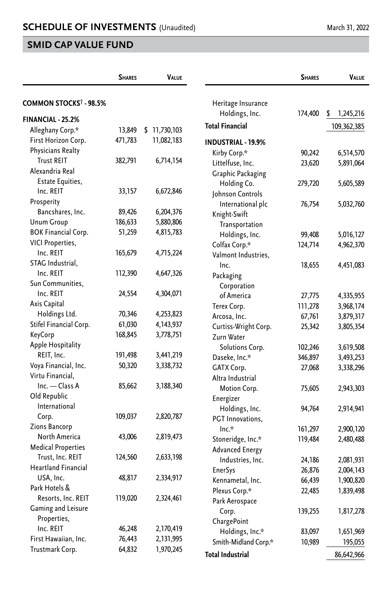## **SMID CAP VALUE FUND**

|                                    | <b>SHARES</b> |              | VALUE |                           | <b>SHARES</b> | VALUE           |
|------------------------------------|---------------|--------------|-------|---------------------------|---------------|-----------------|
| COMMON STOCKS <sup>†</sup> - 98.5% |               |              |       | Heritage Insurance        |               |                 |
| <b>FINANCIAL - 25.2%</b>           |               |              |       | Holdings, Inc.            | 174,400       | \$<br>1,245,216 |
| Alleghany Corp.*                   | 13,849        | \$11,730,103 |       | <b>Total Financial</b>    |               | 109,362,385     |
| First Horizon Corp.                | 471,783       | 11,082,183   |       | <b>INDUSTRIAL - 19.9%</b> |               |                 |
| Physicians Realty                  |               |              |       | Kirby Corp.*              | 90,242        | 6,514,570       |
| <b>Trust REIT</b>                  | 382,791       | 6,714,154    |       | Littelfuse, Inc.          | 23,620        | 5,891,064       |
| Alexandria Real                    |               |              |       | <b>Graphic Packaging</b>  |               |                 |
| <b>Estate Equities,</b>            |               |              |       | Holding Co.               | 279,720       | 5,605,589       |
| Inc. REIT                          | 33,157        | 6,672,846    |       | Johnson Controls          |               |                 |
| Prosperity                         |               |              |       | International plc         | 76,754        | 5,032,760       |
| Bancshares, Inc.                   | 89,426        | 6,204,376    |       | Knight-Swift              |               |                 |
| <b>Unum Group</b>                  | 186,633       | 5,880,806    |       | Transportation            |               |                 |
| <b>BOK Financial Corp.</b>         | 51,259        | 4,815,783    |       | Holdings, Inc.            | 99,408        | 5,016,127       |
| VICI Properties,                   |               |              |       | Colfax Corp.*             | 124,714       | 4,962,370       |
| Inc. REIT                          | 165,679       | 4,715,224    |       | Valmont Industries.       |               |                 |
| STAG Industrial,                   |               |              |       | Inc.                      | 18,655        | 4,451,083       |
| Inc. REIT                          | 112,390       | 4,647,326    |       | Packaging                 |               |                 |
| Sun Communities,                   |               |              |       | Corporation               |               |                 |
| Inc. REIT                          | 24,554        | 4,304,071    |       | of America                | 27,775        | 4,335,955       |
| Axis Capital                       |               |              |       | Terex Corp.               | 111,278       | 3,968,174       |
| Holdings Ltd.                      | 70,346        | 4,253,823    |       | Arcosa, Inc.              | 67,761        | 3,879,317       |
| Stifel Financial Corp.             | 61,030        | 4, 143, 937  |       | Curtiss-Wright Corp.      | 25,342        | 3,805,354       |
| KeyCorp                            | 168,845       | 3,778,751    |       | Zurn Water                |               |                 |
| Apple Hospitality                  |               |              |       | Solutions Corp.           | 102,246       | 3,619,508       |
| REIT, Inc.                         | 191,498       | 3,441,219    |       | Daseke, Inc.*             | 346,897       | 3,493,253       |
| Voya Financial, Inc.               | 50,320        | 3,338,732    |       | GATX Corp.                | 27,068        | 3,338,296       |
| Virtu Financial.                   |               |              |       | Altra Industrial          |               |                 |
| Inc. - Class A                     | 85,662        | 3,188,340    |       | Motion Corp.              | 75,605        | 2,943,303       |
| Old Republic                       |               |              |       | Energizer                 |               |                 |
| International                      |               |              |       | Holdings, Inc.            | 94,764        | 2,914,941       |
| Corp.                              | 109,037       | 2,820,787    |       | PGT Innovations.          |               |                 |
| <b>Zions Bancorp</b>               |               |              |       | $Inc.*$                   | 161,297       | 2,900,120       |
| North America                      | 43,006        | 2,819,473    |       | Stoneridge, Inc.*         | 119,484       | 2,480,488       |
| <b>Medical Properties</b>          |               |              |       | <b>Advanced Energy</b>    |               |                 |
| Trust, Inc. REIT                   | 124,560       | 2,633,198    |       | Industries, Inc.          | 24,186        | 2,081,931       |
| <b>Heartland Financial</b>         |               |              |       | <b>EnerSys</b>            | 26,876        | 2,004,143       |
| USA, Inc.                          | 48,817        | 2,334,917    |       | Kennametal, Inc.          | 66,439        | 1,900,820       |
| Park Hotels &                      |               |              |       | Plexus Corp.*             | 22,485        | 1,839,498       |
| Resorts, Inc. REIT                 | 119,020       | 2,324,461    |       | Park Aerospace            |               |                 |
| Gaming and Leisure                 |               |              |       | Corp.                     | 139,255       | 1,817,278       |
| Properties,                        |               |              |       | ChargePoint               |               |                 |
| Inc. REIT                          | 46,248        | 2,170,419    |       | Holdings, Inc.*           | 83,097        | 1,651,969       |
| First Hawaiian, Inc.               | 76,443        | 2,131,995    |       | Smith-Midland Corp.*      | 10,989        | 195,055         |
| Trustmark Corp.                    | 64,832        | 1,970,245    |       | <b>Total Industrial</b>   |               | 86,642,966      |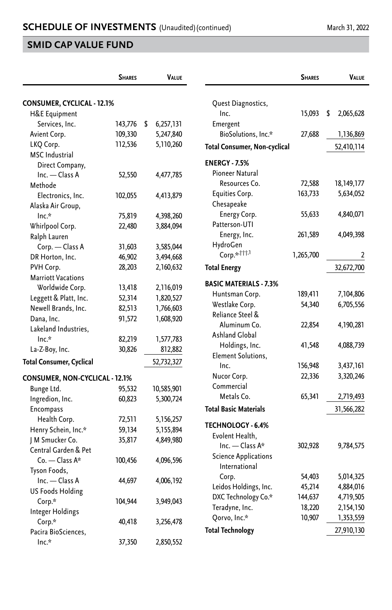## **SMID CAP VALUE FUND**

|                                   | <b>SHARES</b> | <b>VALUE</b>    |                                     | <b>SHARES</b> |   | <b>VALUE</b> |
|-----------------------------------|---------------|-----------------|-------------------------------------|---------------|---|--------------|
| <b>CONSUMER, CYCLICAL - 12.1%</b> |               |                 | Quest Diagnostics,                  |               |   |              |
| H&E Equipment                     |               |                 | Inc.                                | 15,093        | S | 2,065,628    |
| Services, Inc.                    | 143,776       | \$<br>6,257,131 | Emergent                            |               |   |              |
| Avient Corp.                      | 109,330       | 5,247,840       | BioSolutions, Inc.*                 | 27,688        |   | 1,136,869    |
| LKQ Corp.                         | 112,536       | 5,110,260       | <b>Total Consumer, Non-cyclical</b> |               |   | 52,410,114   |
| <b>MSC</b> Industrial             |               |                 |                                     |               |   |              |
| Direct Company,                   |               |                 | <b>ENERGY - 7.5%</b>                |               |   |              |
| Inc. - Class A                    | 52,550        | 4,477,785       | Pioneer Natural                     |               |   |              |
| Methode                           |               |                 | Resources Co.                       | 72,588        |   | 18,149,177   |
| Electronics, Inc.                 | 102,055       | 4,413,879       | Equities Corp.                      | 163,733       |   | 5,634,052    |
| Alaska Air Group,                 |               |                 | Chesapeake                          |               |   |              |
| Inc.*                             | 75,819        | 4,398,260       | Energy Corp.                        | 55,633        |   | 4,840,071    |
| Whirlpool Corp.                   | 22,480        | 3,884,094       | Patterson-UTI                       |               |   |              |
| Ralph Lauren                      |               |                 | Energy, Inc.                        | 261,589       |   | 4,049,398    |
| Corp. - Class A                   | 31,603        | 3,585,044       | HydroGen                            |               |   |              |
| DR Horton, Inc.                   | 46,902        | 3,494,668       | Corp.* <sup>111,1</sup>             | 1,265,700     |   | 2            |
| PVH Corp.                         | 28,203        | 2,160,632       | <b>Total Energy</b>                 |               |   | 32,672,700   |
| <b>Marriott Vacations</b>         |               |                 |                                     |               |   |              |
| Worldwide Corp.                   | 13,418        | 2,116,019       | <b>BASIC MATERIALS - 7.3%</b>       |               |   |              |
| Leggett & Platt, Inc.             | 52,314        | 1,820,527       | Huntsman Corp.                      | 189,411       |   | 7,104,806    |
| Newell Brands, Inc.               | 82,513        | 1,766,603       | Westlake Corp.                      | 54,340        |   | 6,705,556    |
| Dana, Inc.                        | 91,572        | 1,608,920       | Reliance Steel &                    |               |   |              |
| Lakeland Industries,              |               |                 | Aluminum Co.                        | 22,854        |   | 4,190,281    |
| $Inc.*$                           | 82,219        | 1,577,783       | Ashland Global                      |               |   |              |
| La-Z-Boy, Inc.                    | 30,826        | 812,882         | Holdings, Inc.                      | 41,548        |   | 4,088,739    |
| <b>Total Consumer, Cyclical</b>   |               | 52,732,327      | Element Solutions,                  |               |   |              |
|                                   |               |                 | Inc.                                | 156,948       |   | 3,437,161    |
| CONSUMER, NON-CYCLICAL - 12.1%    |               |                 | Nucor Corp.                         | 22,336        |   | 3,320,246    |
| Bunge Ltd.                        | 95,532        | 10,585,901      | Commercial                          |               |   |              |
| Ingredion, Inc.                   | 60,823        | 5,300,724       | Metals Co.                          | 65,341        |   | 2,719,493    |
| Encompass                         |               |                 | <b>Total Basic Materials</b>        |               |   | 31,566,282   |
| Health Corp.                      | 72,511        | 5,156,257       | TECHNOLOGY - 6.4%                   |               |   |              |
| Henry Schein, Inc.*               | 59,134        | 5,155,894       | Evolent Health,                     |               |   |              |
| J M Smucker Co.                   | 35,817        | 4,849,980       | Inc. — Class A*                     | 302,928       |   | 9,784,575    |
| Central Garden & Pet              |               |                 | <b>Science Applications</b>         |               |   |              |
| $Co.$ - Class A*                  | 100,456       | 4,096,596       | International                       |               |   |              |
| Tyson Foods,                      |               |                 | Corp.                               | 54,403        |   | 5,014,325    |
| Inc. - Class A                    | 44,697        | 4,006,192       | Leidos Holdings, Inc.               | 45,214        |   | 4,884,016    |
| <b>US Foods Holding</b>           |               |                 | DXC Technology Co.*                 | 144,637       |   | 4,719,505    |
| Corp.*                            | 104,944       | 3,949,043       | Teradyne, Inc.                      | 18,220        |   | 2,154,150    |
| Integer Holdings                  |               |                 | Qorvo, Inc.*                        | 10,907        |   | 1,353,559    |
| Corp.*                            | 40,418        | 3,256,478       |                                     |               |   |              |
| Pacira BioSciences,               |               |                 | <b>Total Technology</b>             |               |   | 27,910,130   |
| $Inc.*$                           | 37,350        | 2,850,552       |                                     |               |   |              |